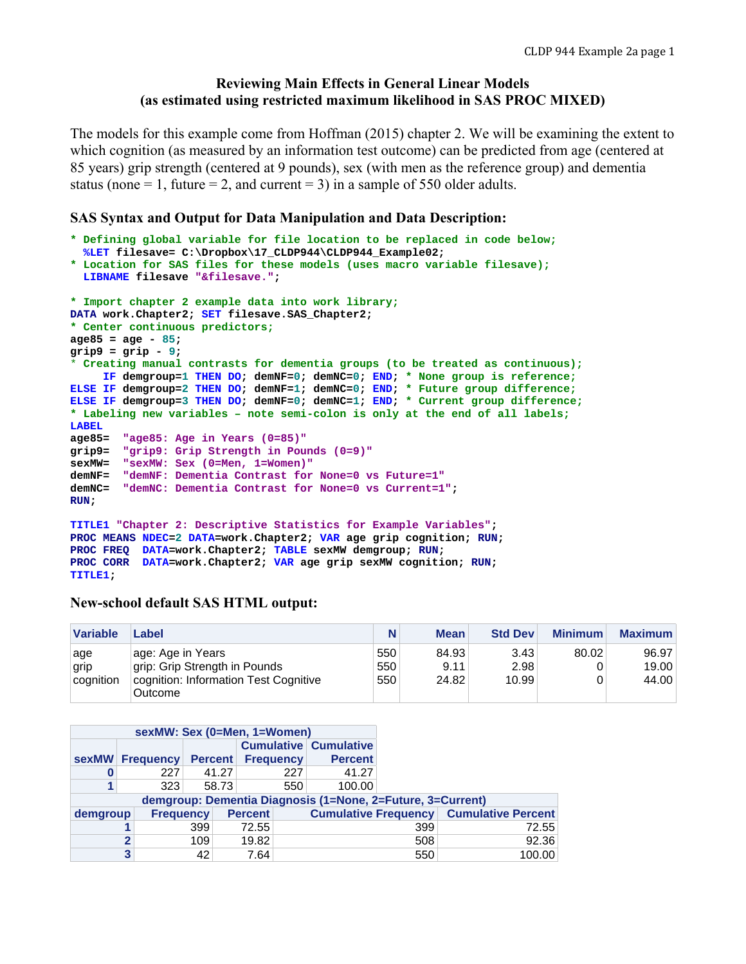## **Reviewing Main Effects in General Linear Models (as estimated using restricted maximum likelihood in SAS PROC MIXED)**

The models for this example come from Hoffman (2015) chapter 2. We will be examining the extent to which cognition (as measured by an information test outcome) can be predicted from age (centered at 85 years) grip strength (centered at 9 pounds), sex (with men as the reference group) and dementia status (none = 1, future = 2, and current = 3) in a sample of 550 older adults.

#### **SAS Syntax and Output for Data Manipulation and Data Description:**

```
* Defining global variable for file location to be replaced in code below;
   %LET filesave= C:\Dropbox\17_CLDP944\CLDP944_Example02; 
* Location for SAS files for these models (uses macro variable filesave);
  LIBNAME filesave "&filesave."; 
* Import chapter 2 example data into work library;
DATA work.Chapter2; SET filesave.SAS_Chapter2; 
* Center continuous predictors;
age85 = age - 85; 
grip9 = grip - 9; 
* Creating manual contrasts for dementia groups (to be treated as continuous);
     IF demgroup=1 THEN DO; demNF=0; demNC=0; END; * None group is reference;
ELSE IF demgroup=2 THEN DO; demNF=1; demNC=0; END; * Future group difference;
ELSE IF demgroup=3 THEN DO; demNF=0; demNC=1; END; * Current group difference; 
* Labeling new variables – note semi-colon is only at the end of all labels;
LABEL 
age85= "age85: Age in Years (0=85)"
grip9= "grip9: Grip Strength in Pounds (0=9)"
       sexMW= "sexMW: Sex (0=Men, 1=Women)"
demNF= "demNF: Dementia Contrast for None=0 vs Future=1"
demNC= "demNC: Dementia Contrast for None=0 vs Current=1"; 
RUN; 
TITLE1 "Chapter 2: Descriptive Statistics for Example Variables"; 
PROC MEANS NDEC=2 DATA=work.Chapter2; VAR age grip cognition; RUN; 
PROC FREQ DATA=work.Chapter2; TABLE sexMW demgroup; RUN; 
PROC CORR DATA=work.Chapter2; VAR age grip sexMW cognition; RUN;
```
#### **New-school default SAS HTML output:**

**TITLE1;** 

| <b>Variable</b> | Label                                              | N                 | <b>Mean</b>            | <b>Std Dev</b> | <b>Minimum</b> | <b>Maximum</b> |
|-----------------|----------------------------------------------------|-------------------|------------------------|----------------|----------------|----------------|
| age<br>grip     | age: Age in Years<br>grip: Grip Strength in Pounds | 550<br>550<br>550 | 84.93<br>9.11<br>24.82 | 3.43<br>2.98   | 80.02          | 96.97<br>19.00 |
| cognition       | cognition: Information Test Cognitive<br>Outcome   |                   |                        | 10.99          |                | 44.00          |

|          |   | sexMW: Sex (0=Men, 1=Women) |                |       |                  |     |                              |                                                            |                                                |
|----------|---|-----------------------------|----------------|-------|------------------|-----|------------------------------|------------------------------------------------------------|------------------------------------------------|
|          |   |                             |                |       |                  |     | <b>Cumulative Cumulative</b> |                                                            |                                                |
|          |   | sexMW Frequency             | <b>Percent</b> |       | <b>Frequency</b> |     | <b>Percent</b>               |                                                            |                                                |
| 0        |   | 227                         |                | 41.27 |                  | 227 | 41.27                        |                                                            |                                                |
|          |   | 323                         |                | 58.73 |                  | 550 | 100.00                       |                                                            |                                                |
|          |   |                             |                |       |                  |     |                              | demgroup: Dementia Diagnosis (1=None, 2=Future, 3=Current) |                                                |
| demgroup |   | <b>Frequency</b>            |                |       | <b>Percent</b>   |     |                              |                                                            | <b>Cumulative Frequency Cumulative Percent</b> |
|          |   |                             | 399            |       | 72.55            |     |                              | 399                                                        | 72.55                                          |
|          | 2 |                             | 109            |       | 19.82            |     |                              | 508                                                        | 92.36                                          |
|          | 3 |                             | 42             |       | 7.64             |     |                              | 550                                                        | 100.00                                         |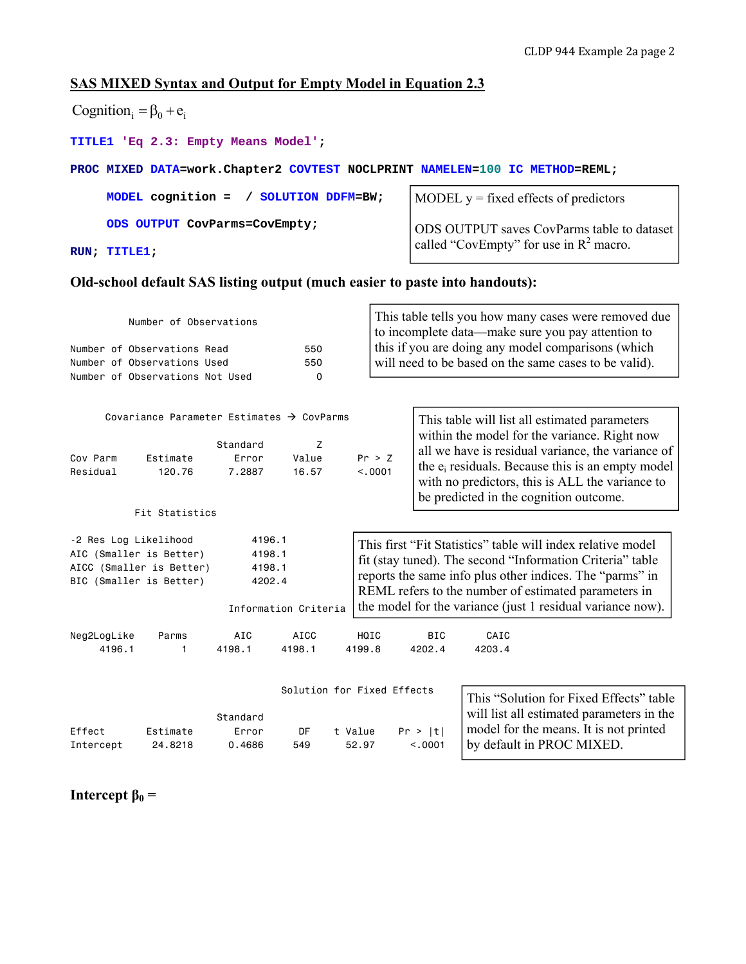# **SAS MIXED Syntax and Output for Empty Model in Equation 2.3**

| Cognition <sub>i</sub> = $\beta_0$ + $e_i$                                                                                                                              |                                                                                                                         |                                      |                                         |                   |                                                                                                                                                                                                                                                                                                            |                                                                                                                                                                                                                          |  |  |  |  |  |
|-------------------------------------------------------------------------------------------------------------------------------------------------------------------------|-------------------------------------------------------------------------------------------------------------------------|--------------------------------------|-----------------------------------------|-------------------|------------------------------------------------------------------------------------------------------------------------------------------------------------------------------------------------------------------------------------------------------------------------------------------------------------|--------------------------------------------------------------------------------------------------------------------------------------------------------------------------------------------------------------------------|--|--|--|--|--|
|                                                                                                                                                                         | TITLE1 'Eq 2.3: Empty Means Model';                                                                                     |                                      |                                         |                   |                                                                                                                                                                                                                                                                                                            |                                                                                                                                                                                                                          |  |  |  |  |  |
|                                                                                                                                                                         |                                                                                                                         |                                      |                                         |                   |                                                                                                                                                                                                                                                                                                            | PROC MIXED DATA=work. Chapter2 COVTEST NOCLPRINT NAMELEN=100 IC METHOD=REML;                                                                                                                                             |  |  |  |  |  |
|                                                                                                                                                                         | MODEL cognition = / SOLUTION DDFM=BW;                                                                                   |                                      |                                         |                   | MODEL $y = fixed$ effects of predictors                                                                                                                                                                                                                                                                    |                                                                                                                                                                                                                          |  |  |  |  |  |
|                                                                                                                                                                         | ODS OUTPUT CovParms=CovEmpty;                                                                                           |                                      |                                         |                   | <b>ODS OUTPUT saves CovParms table to dataset</b>                                                                                                                                                                                                                                                          |                                                                                                                                                                                                                          |  |  |  |  |  |
| RUN; TITLE1;                                                                                                                                                            |                                                                                                                         |                                      |                                         |                   |                                                                                                                                                                                                                                                                                                            | called "CovEmpty" for use in $R^2$ macro.                                                                                                                                                                                |  |  |  |  |  |
|                                                                                                                                                                         | Old-school default SAS listing output (much easier to paste into handouts):                                             |                                      |                                         |                   |                                                                                                                                                                                                                                                                                                            |                                                                                                                                                                                                                          |  |  |  |  |  |
|                                                                                                                                                                         | Number of Observations<br>Number of Observations Read<br>Number of Observations Used<br>Number of Observations Not Used |                                      | 550<br>550<br>0                         |                   |                                                                                                                                                                                                                                                                                                            | This table tells you how many cases were removed due<br>to incomplete data-make sure you pay attention to<br>this if you are doing any model comparisons (which<br>will need to be based on the same cases to be valid). |  |  |  |  |  |
|                                                                                                                                                                         |                                                                                                                         |                                      |                                         |                   |                                                                                                                                                                                                                                                                                                            |                                                                                                                                                                                                                          |  |  |  |  |  |
| Covariance Parameter Estimates $\rightarrow$ CovParms<br>This table will list all estimated parameters<br>within the model for the variance. Right now<br>Standard<br>z |                                                                                                                         |                                      |                                         |                   |                                                                                                                                                                                                                                                                                                            |                                                                                                                                                                                                                          |  |  |  |  |  |
| Cov Parm<br>Residual                                                                                                                                                    | Estimate<br>120.76                                                                                                      | Error<br>7.2887                      | Value<br>16.57                          | Pr > Z<br>< .0001 | all we have is residual variance, the variance of<br>the e <sub>i</sub> residuals. Because this is an empty model<br>with no predictors, this is ALL the variance to<br>be predicted in the cognition outcome.                                                                                             |                                                                                                                                                                                                                          |  |  |  |  |  |
|                                                                                                                                                                         | Fit Statistics                                                                                                          |                                      |                                         |                   |                                                                                                                                                                                                                                                                                                            |                                                                                                                                                                                                                          |  |  |  |  |  |
|                                                                                                                                                                         | -2 Res Log Likelihood<br>AIC (Smaller is Better)<br>AICC (Smaller is Better)<br>BIC (Smaller is Better)                 | 4196.1<br>4198.1<br>4198.1<br>4202.4 | Information Criteria                    |                   | This first "Fit Statistics" table will index relative model<br>fit (stay tuned). The second "Information Criteria" table<br>reports the same info plus other indices. The "parms" in<br>REML refers to the number of estimated parameters in<br>the model for the variance (just 1 residual variance now). |                                                                                                                                                                                                                          |  |  |  |  |  |
| Neg2LogLike<br>4196.1                                                                                                                                                   | Parms<br>1                                                                                                              | AIC<br>4198.1                        | AICC<br>4198.1                          | HQIC<br>4199.8    | BIC<br>4202.4                                                                                                                                                                                                                                                                                              | CAIC<br>4203.4                                                                                                                                                                                                           |  |  |  |  |  |
| Effect<br>Intercept                                                                                                                                                     | Estimate<br>24.8218                                                                                                     | Standard<br>Error<br>0.4686          | Solution for Fixed Effects<br>DF<br>549 | t Value<br>52.97  | Pr >  t <br>< .0001                                                                                                                                                                                                                                                                                        | This "Solution for Fixed Effects" table<br>will list all estimated parameters in the<br>model for the means. It is not printed<br>by default in PROC MIXED.                                                              |  |  |  |  |  |

**Intercept**  $\beta_0 =$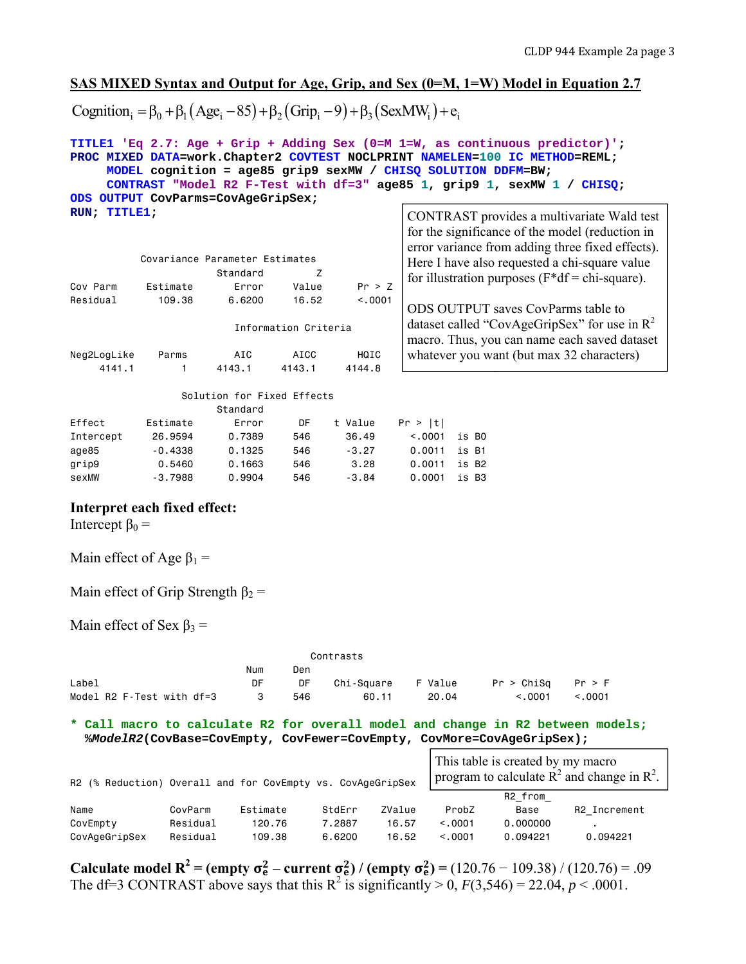## **SAS MIXED Syntax and Output for Age, Grip, and Sex (0=M, 1=W) Model in Equation 2.7**

Cognition<sub>i</sub> =  $\beta_0 + \beta_1 (Age_i - 85) + \beta_2 (Grip_i - 9) + \beta_3 (SexMW_i) + e_i$ 

|                                                                                         |                    |                                                               |                                                                                                                                                                                                                                                          |            | TITLE1 'Eq 2.7: Age + Grip + Adding Sex (0=M 1=W, as continuous predictor)';<br>PROC MIXED DATA=work. Chapter2 COVTEST NOCLPRINT NAMELEN=100 IC METHOD=REML;<br>MODEL cognition = age85 grip9 sexMW / CHISQ SOLUTION DDFM=BW;<br>CONTRAST "Model R2 F-Test with df=3" age85 1, grip9 1, sexMW 1 / CHISQ; |  |  |  |
|-----------------------------------------------------------------------------------------|--------------------|---------------------------------------------------------------|----------------------------------------------------------------------------------------------------------------------------------------------------------------------------------------------------------------------------------------------------------|------------|----------------------------------------------------------------------------------------------------------------------------------------------------------------------------------------------------------------------------------------------------------------------------------------------------------|--|--|--|
| ODS OUTPUT CovParms=CovAgeGripSex;<br>RUN; TITLE1;                                      |                    |                                                               |                                                                                                                                                                                                                                                          |            |                                                                                                                                                                                                                                                                                                          |  |  |  |
| Cov Parm<br>Residual                                                                    | Estimate<br>109.38 | Covariance Parameter Estimates<br>Standard<br>Error<br>6.6200 | CONTRAST provides a multivariate Wald test<br>for the significance of the model (reduction in<br>error variance from adding three fixed effects).<br>Here I have also requested a chi-square value<br>for illustration purposes $(F^*df = chi-square)$ . |            |                                                                                                                                                                                                                                                                                                          |  |  |  |
|                                                                                         |                    |                                                               | 16.52                                                                                                                                                                                                                                                    | < .0001    | ODS OUTPUT saves CovParms table to                                                                                                                                                                                                                                                                       |  |  |  |
|                                                                                         |                    |                                                               | Information Criteria                                                                                                                                                                                                                                     |            | dataset called "CovAgeGripSex" for use in $R^2$                                                                                                                                                                                                                                                          |  |  |  |
|                                                                                         |                    |                                                               |                                                                                                                                                                                                                                                          |            | macro. Thus, you can name each saved dataset                                                                                                                                                                                                                                                             |  |  |  |
| Neg2LogLike                                                                             | Parms              | AIC                                                           | <b>AICC</b>                                                                                                                                                                                                                                              | HQIC       | whatever you want (but max 32 characters)                                                                                                                                                                                                                                                                |  |  |  |
| 4141.1                                                                                  | 1.                 | 4143.1                                                        | 4143.1                                                                                                                                                                                                                                                   | 4144.8     |                                                                                                                                                                                                                                                                                                          |  |  |  |
|                                                                                         |                    | Solution for Fixed Effects<br>Standard                        |                                                                                                                                                                                                                                                          |            |                                                                                                                                                                                                                                                                                                          |  |  |  |
| Effect                                                                                  | Estimate           | Error                                                         | DF                                                                                                                                                                                                                                                       | t Value    | Pr >  t                                                                                                                                                                                                                                                                                                  |  |  |  |
| Intercept                                                                               | 26.9594            | 0.7389                                                        | 546                                                                                                                                                                                                                                                      | 36.49      | < 0.001<br>is BO                                                                                                                                                                                                                                                                                         |  |  |  |
| age85                                                                                   | $-0.4338$          | 0.1325                                                        | 546                                                                                                                                                                                                                                                      | $-3.27$    | 0.0011<br>is B1                                                                                                                                                                                                                                                                                          |  |  |  |
| grip9                                                                                   | 0.5460             | 0.1663                                                        | 546                                                                                                                                                                                                                                                      | 3.28       | 0.0011<br>is B2                                                                                                                                                                                                                                                                                          |  |  |  |
| sexMW                                                                                   | $-3.7988$          | 0.9904                                                        | 546                                                                                                                                                                                                                                                      | $-3.84$    | 0.0001<br>is B3                                                                                                                                                                                                                                                                                          |  |  |  |
| Interpret each fixed effect:<br>Intercept $\beta_0 =$<br>Main effect of Age $\beta_1$ = |                    |                                                               |                                                                                                                                                                                                                                                          |            |                                                                                                                                                                                                                                                                                                          |  |  |  |
| Main effect of Grip Strength $\beta_2$ =                                                |                    |                                                               |                                                                                                                                                                                                                                                          |            |                                                                                                                                                                                                                                                                                                          |  |  |  |
| Main effect of Sex $\beta_3$ =                                                          |                    |                                                               |                                                                                                                                                                                                                                                          |            |                                                                                                                                                                                                                                                                                                          |  |  |  |
|                                                                                         |                    |                                                               |                                                                                                                                                                                                                                                          | Contrasts  |                                                                                                                                                                                                                                                                                                          |  |  |  |
|                                                                                         |                    | Num                                                           | Den                                                                                                                                                                                                                                                      |            |                                                                                                                                                                                                                                                                                                          |  |  |  |
| Label                                                                                   |                    | DF                                                            | DF                                                                                                                                                                                                                                                       | Chi-Square | Pr > Chisq<br>F Value<br>Pr > F                                                                                                                                                                                                                                                                          |  |  |  |
| Model R2 F-Test with df=3                                                               |                    | 3                                                             | 546                                                                                                                                                                                                                                                      | 60.11      | < 0.001<br>< 0.001<br>20.04                                                                                                                                                                                                                                                                              |  |  |  |
|                                                                                         |                    |                                                               |                                                                                                                                                                                                                                                          |            | * Call macro to calculate R2 for overall model and change in R2 between models;<br>%ModelR2(CovBase=CovEmpty, CovFewer=CovEmpty, CovMore=CovAgeGripSex);<br>This table is greated by my means                                                                                                            |  |  |  |

| R2 (% Reduction) Overall and for CovEmpty vs. CovAgeGripSex |          |          |        | This table is created by my macro<br>program to calculate $R^2$ and change in $R^2$ . |         |          |              |  |
|-------------------------------------------------------------|----------|----------|--------|---------------------------------------------------------------------------------------|---------|----------|--------------|--|
|                                                             |          |          |        |                                                                                       |         | R2 from  |              |  |
| Name                                                        | CovParm  | Estimate | StdErr | ZValue                                                                                | ProbZ   | Base     | R2 Increment |  |
| CovEmpty                                                    | Residual | 120.76   | 7.2887 | 16.57                                                                                 | < 0.001 | 0.000000 |              |  |
| CovAgeGripSex                                               | Residual | 109.38   | 6,6200 | 16.52                                                                                 | < 0.001 | 0.094221 | 0.094221     |  |

**Calculate model R<sup>2</sup>** = (empty  $\sigma_e^2$  – current  $\sigma_e^2$ ) / (empty  $\sigma_e^2$ ) = (120.76 – 109.38) / (120.76) = .09 The df=3 CONTRAST above says that this  $R^2$  is significantly > 0,  $F(3,546) = 22.04$ ,  $p < .0001$ .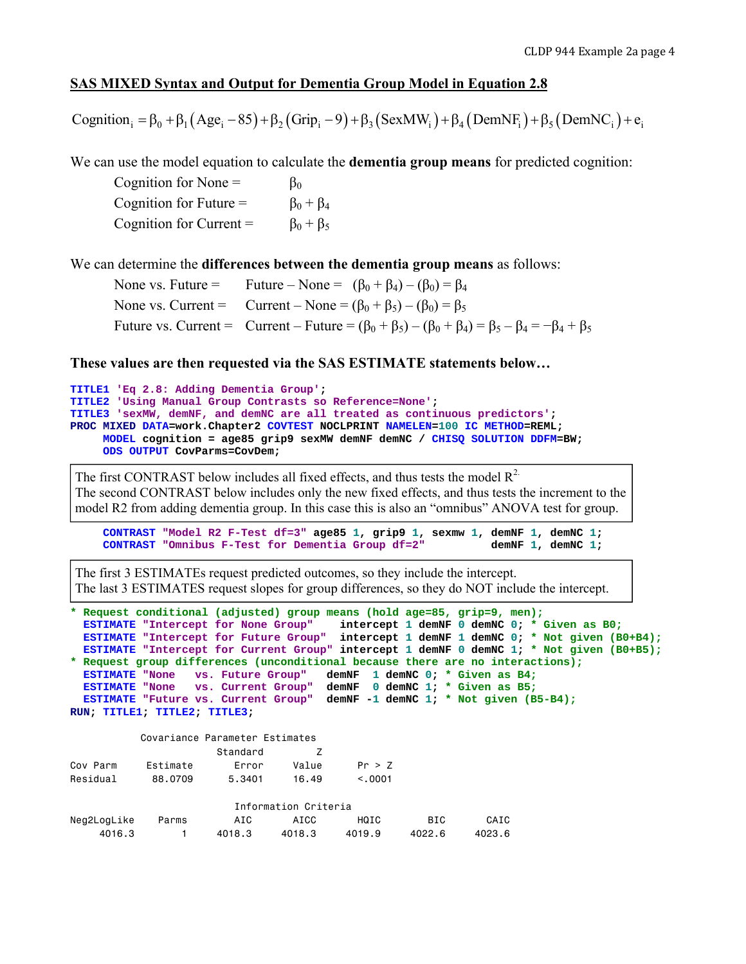## **SAS MIXED Syntax and Output for Dementia Group Model in Equation 2.8**

Cognition  $\beta_0 = \beta_0 + \beta_1 (Age_i - 85) + \beta_2 (Grip_i - 9) + \beta_3 (SexMW_i) + \beta_4 (DemNF_i) + \beta_5 (DemNC_i) + e_i$ 

We can use the model equation to calculate the **dementia group means** for predicted cognition:

Cognition for None =  $\beta_0$ Cognition for Future =  $\beta_0 + \beta_4$ Cognition for Current =  $\beta_0 + \beta_5$ 

We can determine the **differences between the dementia group means** as follows:

None vs. Future = Future – None =  $(\beta_0 + \beta_4) - (\beta_0) = \beta_4$ None vs. Current = Current – None =  $(\beta_0 + \beta_5) - (\beta_0) = \beta_5$ Future vs. Current = Current – Future =  $(\beta_0 + \beta_5) - (\beta_0 + \beta_4) = \beta_5 - \beta_4 = -\beta_4 + \beta_5$ 

#### **These values are then requested via the SAS ESTIMATE statements below…**

```
TITLE1 'Eq 2.8: Adding Dementia Group'; 
TITLE2 'Using Manual Group Contrasts so Reference=None'; 
TITLE3 'sexMW, demNF, and demNC are all treated as continuous predictors'; 
PROC MIXED DATA=work.Chapter2 COVTEST NOCLPRINT NAMELEN=100 IC METHOD=REML; 
      MODEL cognition = age85 grip9 sexMW demNF demNC / CHISQ SOLUTION DDFM=BW; 
      ODS OUTPUT CovParms=CovDem;
```
The first CONTRAST below includes all fixed effects, and thus tests the model  $\mathbb{R}^2$ . The second CONTRAST below includes only the new fixed effects, and thus tests the increment to the model R2 from adding dementia group. In this case this is also an "omnibus" ANOVA test for group.

```
 CONTRAST "Model R2 F-Test df=3" age85 1, grip9 1, sexmw 1, demNF 1, demNC 1; 
 CONTRAST "Omnibus F-Test for Dementia Group df=2" demNF 1, demNC 1;
```
The first 3 ESTIMATEs request predicted outcomes, so they include the intercept. The last 3 ESTIMATES request slopes for group differences, so they do NOT include the intercept.

```
* Request conditional (adjusted) group means (hold age=85, grip=9, men);
  ESTIMATE "Intercept for None Group" intercept 1 demNF 0 demNC 0; * Given as B0;
  ESTIMATE "Intercept for Future Group" intercept 1 demNF 1 demNC 0; * Not given (B0+B4); 
  ESTIMATE "Intercept for Current Group" intercept 1 demNF 0 demNC 1; * Not given (B0+B5); 
* Request group differences (unconditional because there are no interactions);
  ESTIMATE "None vs. Future Group" demNF 1 demNC 0; * Given as B4;
  ESTIMATE "None vs. Current Group" demNF 0 demNC 1; * Given as B5;
  ESTIMATE "Future vs. Current Group" demNF -1 demNC 1; * Not given (B5-B4); 
RUN; TITLE1; TITLE2; TITLE3; 
           Covariance Parameter Estimates 
                      Standard 7
```

| Cov Parm    | Estimate | Error           | Value                | Pr > 7  |        |        |
|-------------|----------|-----------------|----------------------|---------|--------|--------|
| Residual    | 88.0709  | 5.3401<br>16.49 |                      | < 0.001 |        |        |
|             |          |                 | Information Criteria |         |        |        |
| Neg2LogLike | Parms    | AIC             | AICC                 | HQIC    | BIC    | CAIC   |
| 4016.3      |          | 4018.3          | 4018.3               | 4019.9  | 4022.6 | 4023.6 |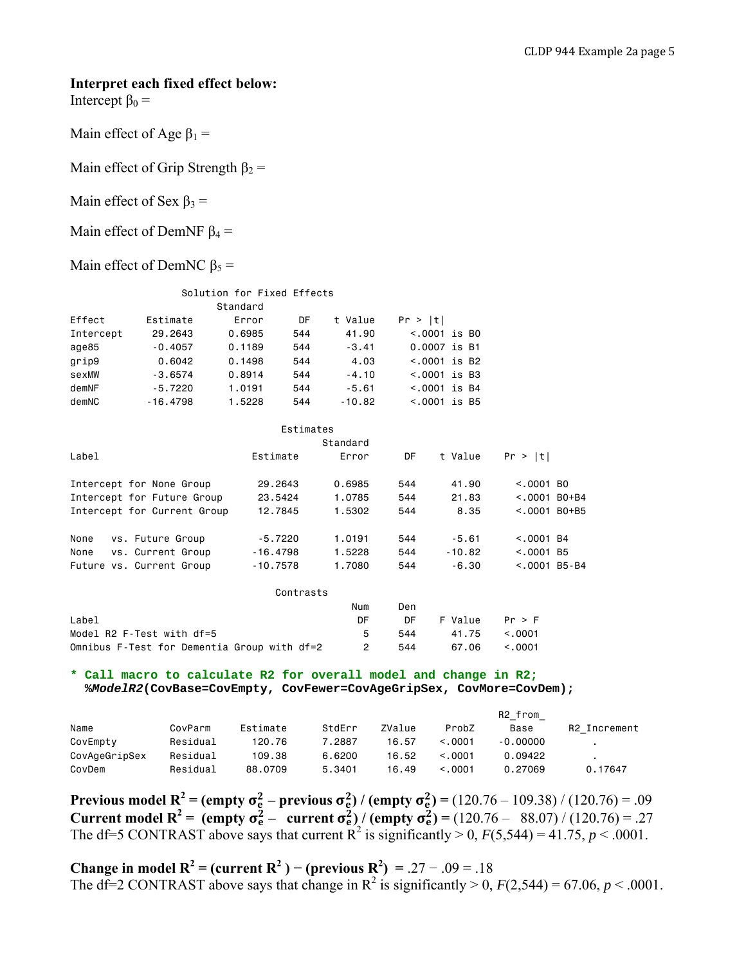#### **Interpret each fixed effect below:**

Intercept  $β_0 =$ 

```
Main effect of Age \beta_1 =
```
Main effect of Grip Strength  $\beta_2$  =

Main effect of Sex  $\beta_3$  =

Main effect of DemNF  $\beta_4$  =

Main effect of DemNC  $\beta_5$  =

| Solution for Fixed Effects |            |          |     |          |                 |  |  |  |  |  |
|----------------------------|------------|----------|-----|----------|-----------------|--|--|--|--|--|
|                            |            | Standard |     |          |                 |  |  |  |  |  |
| Effect                     | Estimate   | Error    | DF  | t Value  | Pr >  t         |  |  |  |  |  |
| Intercept                  | 29.2643    | 0.6985   | 544 | 41.90    | $< .0001$ is BO |  |  |  |  |  |
| age85                      | $-0.4057$  | 0.1189   | 544 | $-3.41$  | 0.0007 is B1    |  |  |  |  |  |
| grip9                      | 0.6042     | 0.1498   | 544 | 4.03     | $< .0001$ is B2 |  |  |  |  |  |
| sexMW                      | $-3.6574$  | 0.8914   | 544 | $-4.10$  | $< .0001$ is B3 |  |  |  |  |  |
| demNF                      | $-5.7220$  | 1.0191   | 544 | $-5.61$  | $< .0001$ is B4 |  |  |  |  |  |
| demNC                      | $-16.4798$ | 1.5228   | 544 | $-10.82$ | $< .0001$ is B5 |  |  |  |  |  |

|                             | Estimates  |          |     |          |                 |
|-----------------------------|------------|----------|-----|----------|-----------------|
|                             |            | Standard |     |          |                 |
| Label                       | Estimate   | Error    | DF  | t Value  | Pr >  t         |
| Intercept for None Group    | 29.2643    | 0.6985   | 544 | 41.90    | $< .0001$ BO    |
| Intercept for Future Group  | 23,5424    | 1.0785   | 544 | 21.83    | $< .0001$ B0+B4 |
| Intercept for Current Group | 12.7845    | 1.5302   | 544 | 8.35     | $< .0001$ B0+B5 |
| None<br>vs. Future Group    | $-5.7220$  | 1.0191   | 544 | $-5.61$  | $< .0001$ B4    |
| vs. Current Group<br>None   | $-16.4798$ | 1.5228   | 544 | $-10.82$ | $< .0001$ B5    |
| Future vs. Current Group    | $-10.7578$ | 1.7080   | 544 | $-6.30$  | $< .0001$ B5-B4 |

| Contrasts                                   |     |     |         |         |
|---------------------------------------------|-----|-----|---------|---------|
|                                             | Num | Den |         |         |
| Label                                       | DE. | DF. | F Value | Pr > F  |
| Model R2 F-Test with df=5                   | 5   | 544 | 41.75   | < .0001 |
| Omnibus F-Test for Dementia Group with df=2 | 2   | 544 | 67.06   | < 0.001 |

**\* Call macro to calculate R2 for overall model and change in R2; %***ModelR2***(CovBase=CovEmpty, CovFewer=CovAgeGripSex, CovMore=CovDem);** 

|               |          |          |        |        |         | R2 from    |                |
|---------------|----------|----------|--------|--------|---------|------------|----------------|
| Name          | CovParm  | Estimate | StdErr | ZValue | ProbZ   | Base       | R2 Increment   |
| CovEmpty      | Residual | 120.76   | 7.2887 | 16.57  | < 0.001 | $-0.00000$ |                |
| CovAgeGripSex | Residual | 109.38   | 6.6200 | 16.52  | < 0.001 | 0.09422    | $\blacksquare$ |
| CovDem        | Residual | 88,0709  | 5.3401 | 16.49  | < 0.001 | 0.27069    | 0.17647        |

**Previous model R<sup>2</sup>** = (empty  $\sigma_e^2$  – previous  $\sigma_e^2$ ) / (empty  $\sigma_e^2$ ) = (120.76 – 109.38) / (120.76) = .09 **Current model R<sup>2</sup>** = (empty  $\sigma_e^2$  – current  $\sigma_e^2$ ) / (empty  $\sigma_e^2$ ) = (120.76 – 88.07) / (120.76) = .27 The df=5 CONTRAST above says that current  $\mathbb{R}^2$  is significantly > 0,  $F(5,544) = 41.75$ ,  $p < .0001$ .

**Change in model R<sup>2</sup>** = (current R<sup>2</sup>) – (previous R<sup>2</sup>) = .27 – .09 = .18 The df=2 CONTRAST above says that change in  $R^2$  is significantly > 0,  $F(2,544) = 67.06, p < .0001$ .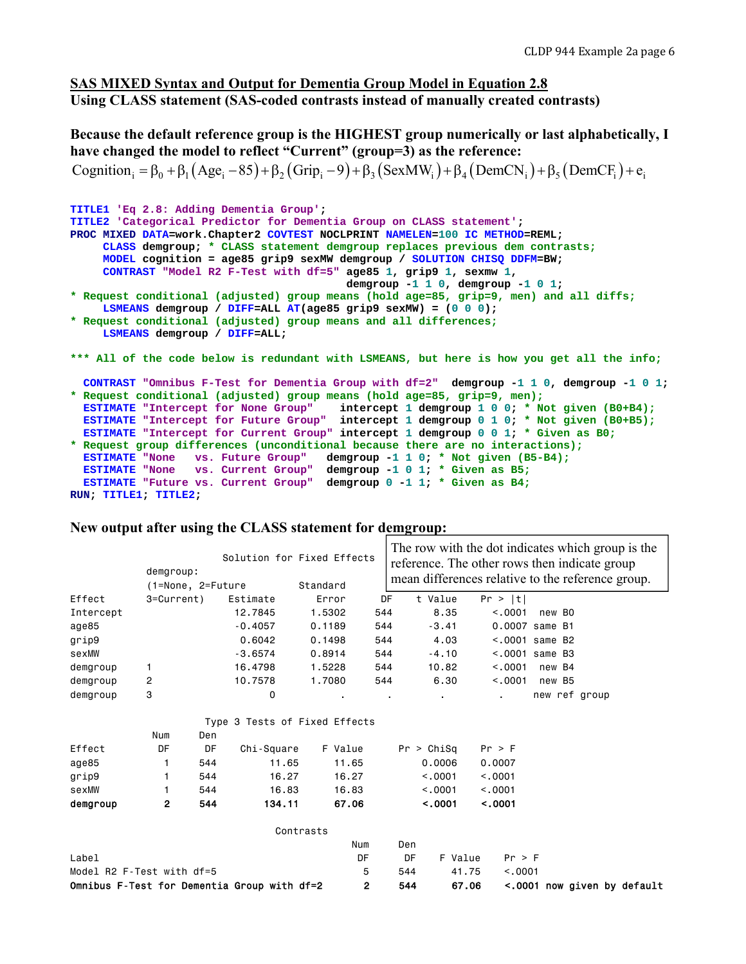## **SAS MIXED Syntax and Output for Dementia Group Model in Equation 2.8 Using CLASS statement (SAS-coded contrasts instead of manually created contrasts)**

**Because the default reference group is the HIGHEST group numerically or last alphabetically, I have changed the model to reflect "Current" (group=3) as the reference:** 

```
Cognition \beta_0 = \beta_0 + \beta_1 (Age_i - 85) + \beta_2 (Grip_i - 9) + \beta_3 (SexMW_i) + \beta_4 (DemCN_i) + \beta_5 (DemCF_i) + e_i
```

```
TITLE1 'Eq 2.8: Adding Dementia Group'; 
TITLE2 'Categorical Predictor for Dementia Group on CLASS statement'; 
PROC MIXED DATA=work.Chapter2 COVTEST NOCLPRINT NAMELEN=100 IC METHOD=REML; 
     CLASS demgroup; * CLASS statement demgroup replaces previous dem contrasts;
     MODEL cognition = age85 grip9 sexMW demgroup / SOLUTION CHISQ DDFM=BW; 
     CONTRAST "Model R2 F-Test with df=5" age85 1, grip9 1, sexmw 1, 
                                           demgroup -1 1 0, demgroup -1 0 1; 
* Request conditional (adjusted) group means (hold age=85, grip=9, men) and all diffs;
     LSMEANS demgroup / DIFF=ALL AT(age85 grip9 sexMW) = (0 0 0); 
* Request conditional (adjusted) group means and all differences;
     LSMEANS demgroup / DIFF=ALL; 
*** All of the code below is redundant with LSMEANS, but here is how you get all the info; 
  CONTRAST "Omnibus F-Test for Dementia Group with df=2" demgroup -1 1 0, demgroup -1 0 1; 
* Request conditional (adjusted) group means (hold age=85, grip=9, men);
  ESTIMATE "Intercept for None Group" intercept 1 demgroup 1 0 0; * Not given (B0+B4);
  ESTIMATE "Intercept for Future Group" intercept 1 demgroup 0 1 0; * Not given (B0+B5);
  ESTIMATE "Intercept for Current Group" intercept 1 demgroup 0 0 1; * Given as B0;
* Request group differences (unconditional because there are no interactions);
  ESTIMATE "None vs. Future Group" demgroup -1 1 0; * Not given (B5-B4);
 ESTIMATE "None vs. Current Group" demgroup -1 0 1; * Given as B5;
 ESTIMATE "Future vs. Current Group" demgroup 0 -1 1; * Given as B4;
RUN; TITLE1; TITLE2;
```

|                           | demgroup:<br>(1=None, 2=Future              |     | Solution for Fixed Effects    | Standard  |       |     |            | The row with the dot indicates which group is the<br>reference. The other rows then indicate group<br>mean differences relative to the reference group. |                   |  |  |
|---------------------------|---------------------------------------------|-----|-------------------------------|-----------|-------|-----|------------|---------------------------------------------------------------------------------------------------------------------------------------------------------|-------------------|--|--|
| Effect                    | 3=Current)                                  |     | Estimate                      | Error     | DF    |     | t Value    | Pr >  t                                                                                                                                                 |                   |  |  |
| Intercept                 |                                             |     | 12,7845                       | 1.5302    | 544   |     | 8.35       | < 0.001                                                                                                                                                 | new BO            |  |  |
| age85                     |                                             |     | $-0.4057$                     | 0.1189    | 544   |     | $-3.41$    |                                                                                                                                                         | 0.0007 same B1    |  |  |
| grip9                     |                                             |     | 0.6042                        | 0.1498    | 544   |     | 4.03       |                                                                                                                                                         | $< .0001$ same B2 |  |  |
| sexMW                     |                                             |     | $-3.6574$                     | 0.8914    | 544   |     | $-4.10$    |                                                                                                                                                         | $< .0001$ same B3 |  |  |
| demgroup                  | 1                                           |     | 16,4798                       | 1.5228    | 544   |     | 10.82      | < 0.001                                                                                                                                                 | new B4            |  |  |
| demgroup                  | 2                                           |     | 10.7578                       | 1,7080    | 544   |     | 6.30       | < 0.001                                                                                                                                                 | new B5            |  |  |
| demgroup                  | 3                                           |     | 0                             |           |       |     |            |                                                                                                                                                         | new ref group     |  |  |
|                           |                                             |     | Type 3 Tests of Fixed Effects |           |       |     |            |                                                                                                                                                         |                   |  |  |
|                           | Num                                         | Den |                               |           |       |     |            |                                                                                                                                                         |                   |  |  |
| Effect                    | DF                                          | DF  | Chi-Square                    | F Value   |       |     | Pr > Chisq | Pr > F                                                                                                                                                  |                   |  |  |
| age85                     | 1                                           | 544 | 11.65                         | 11.65     |       |     | 0.0006     | 0.0007                                                                                                                                                  |                   |  |  |
| grip9                     | 1                                           | 544 | 16.27                         | 16.27     |       |     | < 0.001    | < .0001                                                                                                                                                 |                   |  |  |
| sexMW                     | 1                                           | 544 | 16.83                         | 16.83     |       |     | < 0.001    | < .0001                                                                                                                                                 |                   |  |  |
| demgroup                  | 2                                           | 544 | 134.11                        | 67.06     |       |     | < .0001    | < .0001                                                                                                                                                 |                   |  |  |
|                           |                                             |     |                               | Contrasts |       |     |            |                                                                                                                                                         |                   |  |  |
|                           |                                             |     |                               | Num       |       | Den |            |                                                                                                                                                         |                   |  |  |
| Label                     |                                             |     |                               | DF        |       | DF  | F Value    | Pr > F                                                                                                                                                  |                   |  |  |
| Model R2 F-Test with df=5 |                                             |     |                               |           | 5     | 544 | 41.75      | < 0.001                                                                                                                                                 |                   |  |  |
|                           | Omnibus F-Test for Dementia Group with df=2 |     | $\mathbf{2}$                  | 544       | 67.06 |     |            | < 0001 now given by default                                                                                                                             |                   |  |  |

#### **New output after using the CLASS statement for demgroup:**